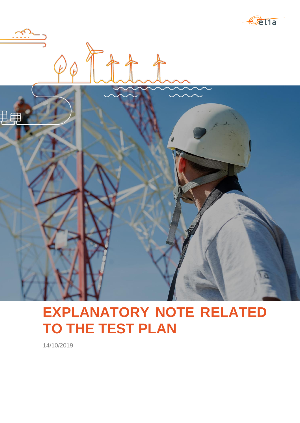



# **EXPLANATORY NOTE RELATED TO THE TEST PLAN**

14/10/2019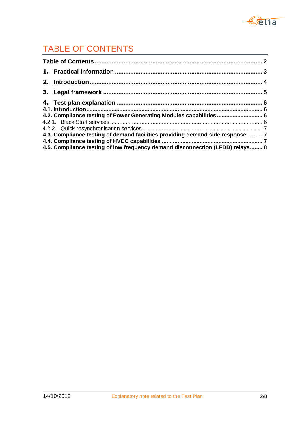

## TABLE OF CONTENTS

| 4.2. Compliance testing of Power Generating Modules capabilities 6            |  |
|-------------------------------------------------------------------------------|--|
|                                                                               |  |
|                                                                               |  |
| 4.3. Compliance testing of demand facilities providing demand side response 7 |  |
|                                                                               |  |
| 4.5. Compliance testing of low frequency demand disconnection (LFDD) relays 8 |  |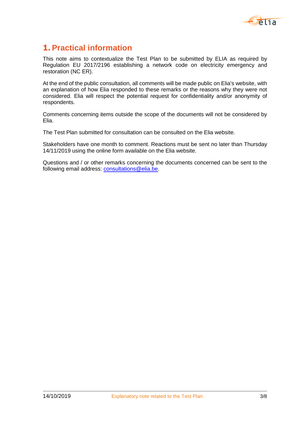

### **1. Practical information**

This note aims to contextualize the Test Plan to be submitted by ELIA as required by Regulation EU 2017/2196 establishing a network code on electricity emergency and restoration (NC ER).

At the end of the public consultation, all comments will be made public on Elia's website, with an explanation of how Elia responded to these remarks or the reasons why they were not considered. Elia will respect the potential request for confidentiality and/or anonymity of respondents.

Comments concerning items outside the scope of the documents will not be considered by Elia.

The Test Plan submitted for consultation can be consulted on the Elia website.

Stakeholders have one month to comment. Reactions must be sent no later than Thursday 14/11/2019 using the online form available on the Elia website.

Questions and / or other remarks concerning the documents concerned can be sent to the following email address: [consultations@elia.be.](mailto:consultations@elia.be)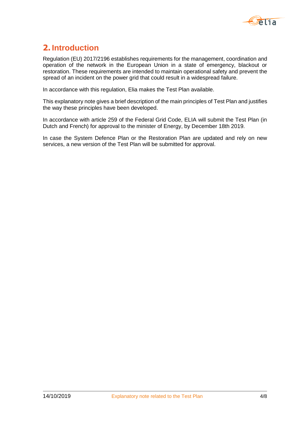

## **2. Introduction**

Regulation (EU) 2017/2196 establishes requirements for the management, coordination and operation of the network in the European Union in a state of emergency, blackout or restoration. These requirements are intended to maintain operational safety and prevent the spread of an incident on the power grid that could result in a widespread failure.

In accordance with this regulation, Elia makes the Test Plan available.

This explanatory note gives a brief description of the main principles of Test Plan and justifies the way these principles have been developed.

In accordance with article 259 of the Federal Grid Code, ELIA will submit the Test Plan (in Dutch and French) for approval to the minister of Energy, by December 18th 2019.

In case the System Defence Plan or the Restoration Plan are updated and rely on new services, a new version of the Test Plan will be submitted for approval.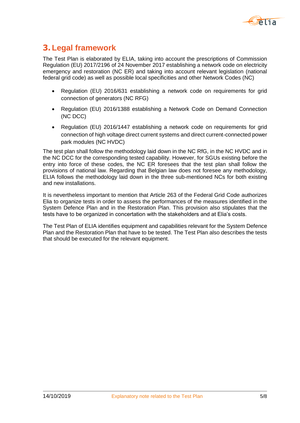

## **3. Legal framework**

The Test Plan is elaborated by ELIA, taking into account the prescriptions of Commission Regulation (EU) 2017/2196 of 24 November 2017 establishing a network code on electricity emergency and restoration (NC ER) and taking into account relevant legislation (national federal grid code) as well as possible local specificities and other Network Codes (NC)

- Regulation (EU) 2016/631 establishing a network code on requirements for grid connection of generators (NC RFG)
- Regulation (EU) 2016/1388 establishing a Network Code on Demand Connection (NC DCC)
- Regulation (EU) 2016/1447 establishing a network code on requirements for grid connection of high voltage direct current systems and direct current-connected power park modules (NC HVDC)

The test plan shall follow the methodology laid down in the NC RfG, in the NC HVDC and in the NC DCC for the corresponding tested capability. However, for SGUs existing before the entry into force of these codes, the NC ER foresees that the test plan shall follow the provisions of national law. Regarding that Belgian law does not foresee any methodology, ELIA follows the methodology laid down in the three sub-mentioned NCs for both existing and new installations.

It is nevertheless important to mention that Article 263 of the Federal Grid Code authorizes Elia to organize tests in order to assess the performances of the measures identified in the System Defence Plan and in the Restoration Plan. This provision also stipulates that the tests have to be organized in concertation with the stakeholders and at Elia's costs.

The Test Plan of ELIA identifies equipment and capabilities relevant for the System Defence Plan and the Restoration Plan that have to be tested. The Test Plan also describes the tests that should be executed for the relevant equipment.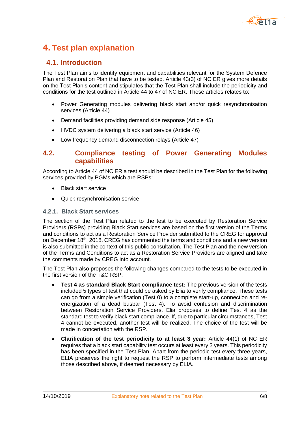

## **4. Test plan explanation**

#### **4.1. Introduction**

The Test Plan aims to identify equipment and capabilities relevant for the System Defence Plan and Restoration Plan that have to be tested. Article 43(3) of NC ER gives more details on the Test Plan's content and stipulates that the Test Plan shall include the periodicity and conditions for the test outlined in Article 44 to 47 of NC ER. These articles relates to:

- Power Generating modules delivering black start and/or quick resynchronisation services (Article 44)
- Demand facilities providing demand side response (Article 45)
- HVDC system delivering a black start service (Article 46)
- Low frequency demand disconnection relays (Article 47)

#### **4.2. Compliance testing of Power Generating Modules capabilities**

According to Article 44 of NC ER a test should be described in the Test Plan for the following services provided by PGMs which are RSPs:

- Black start service
- Quick resynchronisation service.

#### **4.2.1. Black Start services**

The section of the Test Plan related to the test to be executed by Restoration Service Providers (RSPs) providing Black Start services are based on the first version of the Terms and conditions to act as a Restoration Service Provider submitted to the CREG for approval on December 18<sup>th</sup>, 2018. CREG has commented the terms and conditions and a new version is also submitted in the context of this public consultation. The Test Plan and the new version of the Terms and Conditions to act as a Restoration Service Providers are aligned and take the comments made by CREG into account.

The Test Plan also proposes the following changes compared to the tests to be executed in the first version of the T&C RSP:

- **Test 4 as standard Black Start compliance test:** The previous version of the tests included 5 types of test that could be asked by Elia to verify compliance. These tests can go from a simple verification (Test 0) to a complete start-up, connection and reenergization of a dead busbar (Test 4). To avoid confusion and discrimination between Restoration Service Providers, Elia proposes to define Test 4 as the standard test to verify black start compliance. If, due to particular circumstances, Test 4 cannot be executed, another test will be realized. The choice of the test will be made in concertation with the RSP.
- **Clarification of the test periodicity to at least 3 year:** Article 44(1) of NC ER requires that a black start capability test occurs at least every 3 years. This periodicity has been specified in the Test Plan. Apart from the periodic test every three years, ELIA preserves the right to request the RSP to perform intermediate tests among those described above, if deemed necessary by ELIA.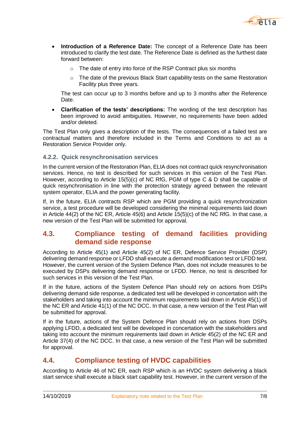

- **Introduction of a Reference Date:** The concept of a Reference Date has been introduced to clarify the test date. The Reference Date is defined as the furthest date forward between:
	- o The date of entry into force of the RSP Contract plus six months
	- o The date of the previous Black Start capability tests on the same Restoration Facility plus three years.

The test can occur up to 3 months before and up to 3 months after the Reference Date.

 **Clarification of the tests' descriptions:** The wording of the test description has been improved to avoid ambiguities. However, no requirements have been added and/or deleted.

The Test Plan only gives a description of the tests. The consequences of a failed test are contractual matters and therefore included in the Terms and Conditions to act as a Restoration Service Provider only.

#### **4.2.2. Quick resynchronisation services**

In the current version of the Restoration Plan, ELIA does not contract quick resynchronisation services. Hence, no test is described for such services in this version of the Test Plan. However, according to Article 15(5)(c) of NC RfG, PGM of type C & D shall be capable of quick resynchronisation in line with the protection strategy agreed between the relevant system operator, ELIA and the power generating facility.

If, in the future, ELIA contracts RSP which are PGM providing a quick resynchronization service, a test procedure will be developed considering the minimal requirements laid down in Article 44(2) of the NC ER, Article 45(6) and Article 15(5)(c) of the NC RfG. In that case, a new version of the Test Plan will be submitted for approval.

#### **4.3. Compliance testing of demand facilities providing demand side response**

According to Article 45(1) and Article 45(2) of NC ER, Defence Service Provider (DSP) delivering demand response or LFDD shall execute a demand modification test or LFDD test. However, the current version of the System Defence Plan, does not include measures to be executed by DSPs delivering demand response or LFDD. Hence, no test is described for such services in this version of the Test Plan.

If in the future, actions of the System Defence Plan should rely on actions from DSPs delivering demand side response, a dedicated test will be developed in concertation with the stakeholders and taking into account the minimum requirements laid down in Article 45(1) of the NC ER and Article 41(1) of the NC DCC. In that case, a new version of the Test Plan will be submitted for approval.

If in the future, actions of the System Defence Plan should rely on actions from DSPs applying LFDD, a dedicated test will be developed in concertation with the stakeholders and taking into account the minimum requirements laid down in Article 45(2) of the NC ER and Article 37(4) of the NC DCC. In that case, a new version of the Test Plan will be submitted for approval.

#### **4.4. Compliance testing of HVDC capabilities**

According to Article 46 of NC ER, each RSP which is an HVDC system delivering a black start service shall execute a black start capability test. However, in the current version of the